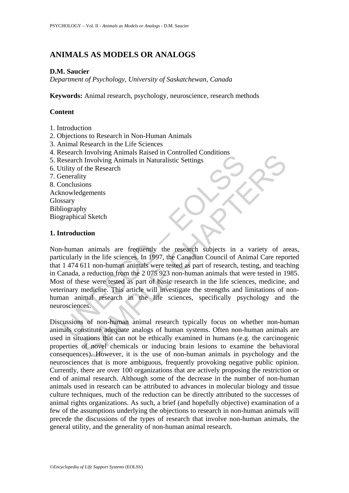# **ANIMALS AS MODELS OR ANALOGS**

## **D.M. Saucier**

*Department of Psychology, University of Saskatchewan, Canada* 

**Keywords:** Animal research, psychology, neuroscience, research methods

# **Content**

- 1. Introduction
- 2. Objections to Research in Non-Human Animals
- 3. Animal Research in the Life Sciences
- 4. Research Involving Animals Raised in Controlled Conditions
- 5. Research Involving Animals in Naturalistic Settings
- 6. Utility of the Research
- 7. Generality
- 8. Conclusions
- Acknowledgements
- Glossary
- Bibliography Biographical Sketch

## **1. Introduction**

Exercise Involving Animals ratio at controlled Contracts<br>
escarch Involving Animals in Naturalistic Settings<br>
(itality of the Research<br>
ienerality<br>
onclusions<br>
stary<br>
iography<br>
graphical Sketch<br> **antroduction**<br> **and the se** Forward Sammals stasted in Controlled Controlled Controlled Controlled Charlotters<br>
Supprements<br>
Supprements<br>
Supprements<br>
Supprements<br>
Supprements<br>
Supprements<br>
Supprements<br>
Supprements<br>
Supprements<br>
Supprements<br>
And Sket Non-human animals are frequently the research subjects in a variety of areas, particularly in the life sciences. In 1997, the Canadian Council of Animal Care reported that 1 474 611 non-human animals were tested as part of research, testing, and teaching in Canada, a reduction from the 2 075 923 non-human animals that were tested in 1985. Most of these were tested as part of basic research in the life sciences, medicine, and veterinary medicine. This article will investigate the strengths and limitations of nonhuman animal research in the life sciences, specifically psychology and the neurosciences.

Discussions of non-human animal research typically focus on whether non-human animals constitute adequate analogs of human systems. Often non-human animals are used in situations that can not be ethically examined in humans (e.g. the carcinogenic properties of novel chemicals or inducing brain lesions to examine the behavioral consequences). However, it is the use of non-human animals in psychology and the neurosciences that is more ambiguous, frequently provoking negative public opinion. Currently, there are over 100 organizations that are actively proposing the restriction or end of animal research. Although some of the decrease in the number of non-human animals used in research can be attributed to advances in molecular biology and tissue culture techniques, much of the reduction can be directly attributed to the successes of animal rights organizations. As such, a brief (and hopefully objective) examination of a few of the assumptions underlying the objections to research in non-human animals will precede the discussions of the types of research that involve non-human animals, the general utility, and the generality of non-human animal research.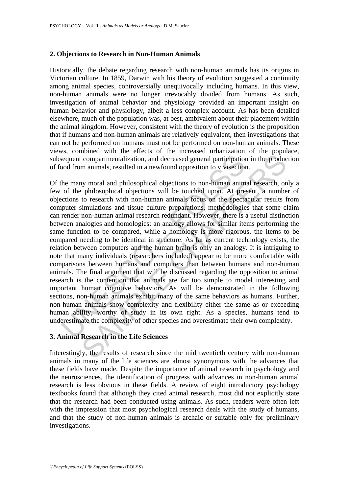### **2. Objections to Research in Non-Human Animals**

Historically, the debate regarding research with non-human animals has its origins in Victorian culture. In 1859, Darwin with his theory of evolution suggested a continuity among animal species, controversially unequivocally including humans. In this view, non-human animals were no longer irrevocably divided from humans. As such, investigation of animal behavior and physiology provided an important insight on human behavior and physiology, albeit a less complex account. As has been detailed elsewhere, much of the population was, at best, ambivalent about their placement within the animal kingdom. However, consistent with the theory of evolution is the proposition that if humans and non-human animals are relatively equivalent, then investigations that can not be performed on humans must not be performed on non-human animals. These views, combined with the effects of the increased urbanization of the populace, subsequent compartmentalization, and decreased general participation in the production of food from animals, resulted in a newfound opposition to vivisection.

is equent compartmentalization, and decreased general participation<br>ood from animals, resulted in a newfound opposition to vivisection<br>the many moral and philosophical objections to non-human anim<br>of the philosophical obje compartmentalization, and decreased general participation in the producture manimals, resulted in a newfound opposition to vivisection.<br>
My moral and philosophical objections to non-human animal research, on<br>
philosophical Of the many moral and philosophical objections to non-human animal research, only a few of the philosophical objections will be touched upon. At present, a number of objections to research with non-human animals focus on the spectacular results from computer simulations and tissue culture preparations, methodologies that some claim can render non-human animal research redundant. However, there is a useful distinction between analogies and homologies: an analogy allows for similar items performing the same function to be compared, while a homology is more rigorous, the items to be compared needing to be identical in structure. As far as current technology exists, the relation between computers and the human brain is only an analogy. It is intriguing to note that many individuals (researchers included) appear to be more comfortable with comparisons between humans and computers than between humans and non-human animals. The final argument that will be discussed regarding the opposition to animal research is the contention that animals are far too simple to model interesting and important human cognitive behaviors. As will be demonstrated in the following sections, non-human animals exhibit many of the same behaviors as humans. Further, non-human animals show complexity and flexibility either the same as or exceeding human ability, worthy of study in its own right. As a species, humans tend to underestimate the complexity of other species and overestimate their own complexity.

# **3. Animal Research in the Life Sciences**

Interestingly, the results of research since the mid twentieth century with non-human animals in many of the life sciences are almost synonymous with the advances that these fields have made. Despite the importance of animal research in psychology and the neurosciences, the identification of progress with advances in non-human animal research is less obvious in these fields. A review of eight introductory psychology textbooks found that although they cited animal research, most did not explicitly state that the research had been conducted using animals. As such, readers were often left with the impression that most psychological research deals with the study of humans, and that the study of non-human animals is archaic or suitable only for preliminary investigations.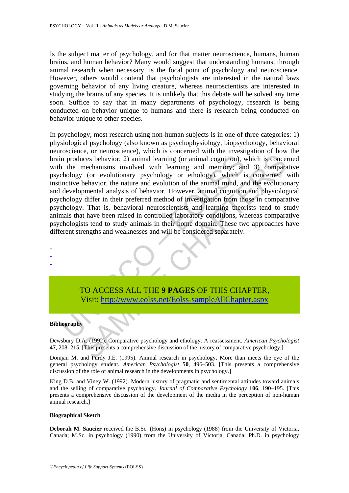Is the subject matter of psychology, and for that matter neuroscience, humans, human brains, and human behavior? Many would suggest that understanding humans, through animal research when necessary, is the focal point of psychology and neuroscience. However, others would contend that psychologists are interested in the natural laws governing behavior of any living creature, whereas neuroscientists are interested in studying the brains of any species. It is unlikely that this debate will be solved any time soon. Suffice to say that in many departments of psychology, research is being conducted on behavior unique to humans and there is research being conducted on behavior unique to other species.

In produces behavior; 2) animal learning (or animal cognition), v<br>
1 the mechanisms involved with learning and memory; anchology (or evolutionary psychology or ethology), which is<br>
incive behavior, the nature and evolution cases behavior; 2) animal learning (or animal cognition), which is concerned<br>annisms involved with learning (or animal cognition), which is concerned<br>mechanisms involved with learning and memory; and 3) comparate<br>to the ve In psychology, most research using non-human subjects is in one of three categories: 1) physiological psychology (also known as psychophysiology, biopsychology, behavioral neuroscience, or neuroscience), which is concerned with the investigation of how the brain produces behavior; 2) animal learning (or animal cognition), which is concerned with the mechanisms involved with learning and memory; and 3) comparative psychology (or evolutionary psychology or ethology), which is concerned with instinctive behavior, the nature and evolution of the animal mind, and the evolutionary and developmental analysis of behavior. However, animal cognition and physiological psychology differ in their preferred method of investigation from those in comparative psychology. That is, behavioral neuroscientists and learning theorists tend to study animals that have been raised in controlled laboratory conditions, whereas comparative psychologists tend to study animals in their home domain. These two approaches have different strengths and weaknesses and will be considered separately.

TO ACCESS ALL THE **9 PAGES** OF THIS CHAPTER, Visit: http://www.eolss.net/Eolss-sampleAllChapter.aspx

#### **Bibliography**

- - -

Dewsbury D.A. (1992). Comparative psychology and ethology. A reassessment. *American Psychologist* **47**, 208–215. [This presents a comprehensive discussion of the history of comparative psychology.]

Domjan M. and Purdy J.E. (1995). Animal research in psychology. More than meets the eye of the general psychology student. *American Psychologist* **50**, 496–503. [This presents a comprehensive discussion of the role of animal research in the developments in psychology.]

King D.B. and Viney W. (1992). Modern history of pragmatic and sentimental attitudes toward animals and the selling of comparative psychology. *Journal of Comparative Psychology* **106**, 190–195. [This presents a comprehensive discussion of the development of the media in the perception of non-human animal research.]

#### **Biographical Sketch**

**Deborah M. Saucier** received the B.Sc. (Hons) in psychology (1988) from the University of Victoria, Canada; M.Sc. in psychology (1990) from the University of Victoria, Canada; Ph.D. in psychology